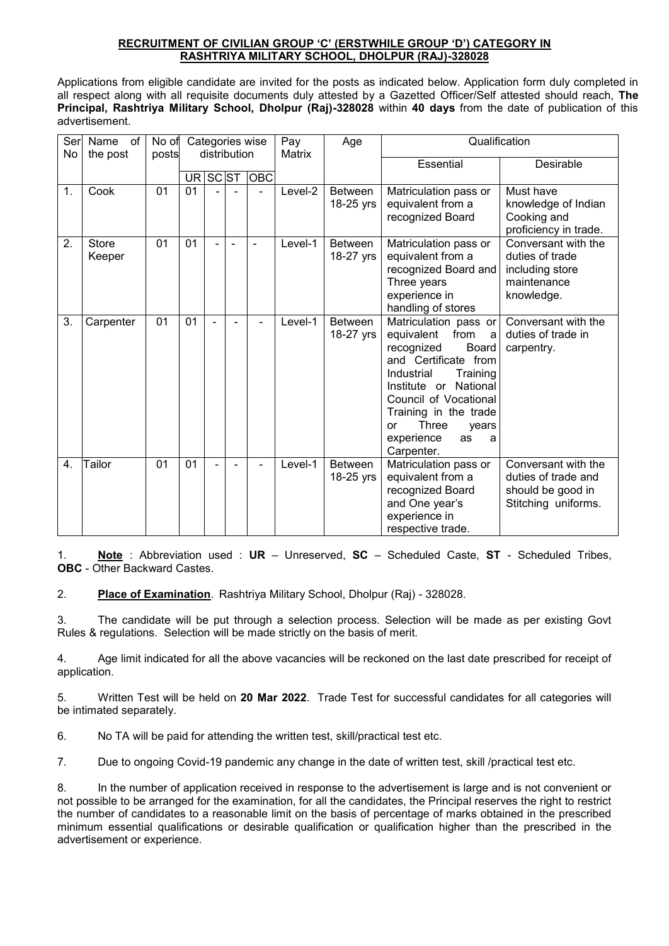#### **RECRUITMENT OF CIVILIAN GROUP 'C' (ERSTWHILE GROUP 'D') CATEGORY IN RASHTRIYA MILITARY SCHOOL, DHOLPUR (RAJ)-328028**

Applications from eligible candidate are invited for the posts as indicated below. Application form duly completed in all respect along with all requisite documents duly attested by a Gazetted Officer/Self attested should reach, **The Principal, Rashtriya Military School, Dholpur (Raj)-328028** within **40 days** from the date of publication of this advertisement.

| Ser<br>No | Name<br>0f<br>the post | No of<br>posts | Categories wise<br>distribution |                          | Pay<br>Age<br>Matrix     |                          | Qualification |                |                                                       |                                              |
|-----------|------------------------|----------------|---------------------------------|--------------------------|--------------------------|--------------------------|---------------|----------------|-------------------------------------------------------|----------------------------------------------|
|           |                        |                |                                 |                          |                          |                          | Essential     | Desirable      |                                                       |                                              |
|           |                        |                | UR <sub>I</sub>                 | SC ST                    |                          | <b>OBC</b>               |               |                |                                                       |                                              |
| 1.        | Cook                   | 01             | 01                              |                          |                          |                          | Level-2       | <b>Between</b> | Matriculation pass or                                 | Must have                                    |
|           |                        |                |                                 |                          |                          |                          |               | 18-25 yrs      | equivalent from a                                     | knowledge of Indian                          |
|           |                        |                |                                 |                          |                          |                          |               |                | recognized Board                                      | Cooking and                                  |
| 2.        | <b>Store</b>           | 01             | 01                              | $\overline{\phantom{0}}$ | $\overline{\phantom{0}}$ | $\overline{\phantom{a}}$ | Level-1       | <b>Between</b> | Matriculation pass or                                 | proficiency in trade.<br>Conversant with the |
|           | Keeper                 |                |                                 |                          |                          |                          |               | 18-27 yrs      | equivalent from a                                     | duties of trade                              |
|           |                        |                |                                 |                          |                          |                          |               |                | recognized Board and                                  | including store                              |
|           |                        |                |                                 |                          |                          |                          |               |                | Three years                                           | maintenance                                  |
|           |                        |                |                                 |                          |                          |                          |               |                | experience in                                         | knowledge.                                   |
|           |                        |                |                                 |                          |                          |                          |               |                | handling of stores                                    |                                              |
| 3.        | Carpenter              | 01             | 01                              |                          |                          |                          | Level-1       | Between        | Matriculation pass or                                 | Conversant with the                          |
|           |                        |                |                                 |                          |                          |                          |               | 18-27 yrs      | from<br>equivalent<br>a<br>recognized<br><b>Board</b> | duties of trade in<br>carpentry.             |
|           |                        |                |                                 |                          |                          |                          |               |                | and Certificate from                                  |                                              |
|           |                        |                |                                 |                          |                          |                          |               |                | Industrial<br>Training                                |                                              |
|           |                        |                |                                 |                          |                          |                          |               |                | Institute or National                                 |                                              |
|           |                        |                |                                 |                          |                          |                          |               |                | Council of Vocational                                 |                                              |
|           |                        |                |                                 |                          |                          |                          |               |                | Training in the trade                                 |                                              |
|           |                        |                |                                 |                          |                          |                          |               |                | Three<br>or<br>years                                  |                                              |
|           |                        |                |                                 |                          |                          |                          |               |                | experience<br>as<br>a                                 |                                              |
| 4.        | Tailor                 | 01             | 01                              | $\overline{\phantom{0}}$ |                          |                          | Level-1       | <b>Between</b> | Carpenter.                                            | Conversant with the                          |
|           |                        |                |                                 |                          |                          |                          |               | 18-25 yrs      | Matriculation pass or<br>equivalent from a            | duties of trade and                          |
|           |                        |                |                                 |                          |                          |                          |               |                | recognized Board                                      | should be good in                            |
|           |                        |                |                                 |                          |                          |                          |               |                | and One year's                                        | Stitching uniforms.                          |
|           |                        |                |                                 |                          |                          |                          |               |                | experience in                                         |                                              |
|           |                        |                |                                 |                          |                          |                          |               |                | respective trade.                                     |                                              |

1. **Note** : Abbreviation used : **UR** – Unreserved, **SC** – Scheduled Caste, **ST** - Scheduled Tribes, **OBC** - Other Backward Castes.

2. **Place of Examination**. Rashtriya Military School, Dholpur (Raj) - 328028.

3. The candidate will be put through a selection process. Selection will be made as per existing Govt Rules & regulations. Selection will be made strictly on the basis of merit.

4. Age limit indicated for all the above vacancies will be reckoned on the last date prescribed for receipt of application.

5. Written Test will be held on **20 Mar 2022**. Trade Test for successful candidates for all categories will be intimated separately.

6. No TA will be paid for attending the written test, skill/practical test etc.

7. Due to ongoing Covid-19 pandemic any change in the date of written test, skill /practical test etc.

8. In the number of application received in response to the advertisement is large and is not convenient or not possible to be arranged for the examination, for all the candidates, the Principal reserves the right to restrict the number of candidates to a reasonable limit on the basis of percentage of marks obtained in the prescribed minimum essential qualifications or desirable qualification or qualification higher than the prescribed in the advertisement or experience.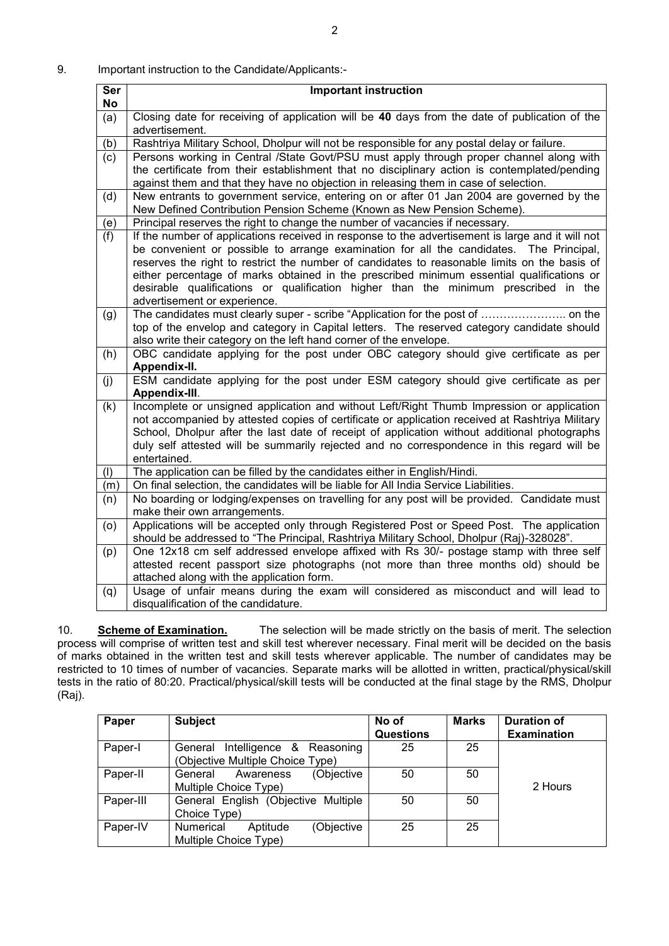| Ser | <b>Important instruction</b>                                                                                    |
|-----|-----------------------------------------------------------------------------------------------------------------|
| No  |                                                                                                                 |
| (a) | Closing date for receiving of application will be 40 days from the date of publication of the<br>advertisement. |
| (b) | Rashtriya Military School, Dholpur will not be responsible for any postal delay or failure.                     |
| (c) | Persons working in Central /State Govt/PSU must apply through proper channel along with                         |
|     | the certificate from their establishment that no disciplinary action is contemplated/pending                    |
|     | against them and that they have no objection in releasing them in case of selection.                            |
| (d) | New entrants to government service, entering on or after 01 Jan 2004 are governed by the                        |
|     | New Defined Contribution Pension Scheme (Known as New Pension Scheme).                                          |
| (e) | Principal reserves the right to change the number of vacancies if necessary.                                    |
| (f) | If the number of applications received in response to the advertisement is large and it will not                |
|     | be convenient or possible to arrange examination for all the candidates. The Principal,                         |
|     | reserves the right to restrict the number of candidates to reasonable limits on the basis of                    |
|     | either percentage of marks obtained in the prescribed minimum essential qualifications or                       |
|     | desirable qualifications or qualification higher than the minimum prescribed in the                             |
|     | advertisement or experience.                                                                                    |
| (g) |                                                                                                                 |
|     | top of the envelop and category in Capital letters. The reserved category candidate should                      |
|     | also write their category on the left hand corner of the envelope.                                              |
| (h) | OBC candidate applying for the post under OBC category should give certificate as per                           |
|     | Appendix-II.                                                                                                    |
| (j) | ESM candidate applying for the post under ESM category should give certificate as per<br>Appendix-III.          |
| (k) | Incomplete or unsigned application and without Left/Right Thumb Impression or application                       |
|     | not accompanied by attested copies of certificate or application received at Rashtriya Military                 |
|     | School, Dholpur after the last date of receipt of application without additional photographs                    |
|     | duly self attested will be summarily rejected and no correspondence in this regard will be                      |
|     | entertained.                                                                                                    |
| (1) | The application can be filled by the candidates either in English/Hindi.                                        |
| (m) | On final selection, the candidates will be liable for All India Service Liabilities.                            |
| (n) | No boarding or lodging/expenses on travelling for any post will be provided. Candidate must                     |
|     | make their own arrangements.                                                                                    |
| (0) | Applications will be accepted only through Registered Post or Speed Post. The application                       |
|     | should be addressed to "The Principal, Rashtriya Military School, Dholpur (Raj)-328028".                        |
| (p) | One 12x18 cm self addressed envelope affixed with Rs 30/- postage stamp with three self                         |
|     | attested recent passport size photographs (not more than three months old) should be                            |
|     | attached along with the application form.                                                                       |
| (q) | Usage of unfair means during the exam will considered as misconduct and will lead to                            |
|     | disqualification of the candidature.                                                                            |

10. **Scheme of Examination.** The selection will be made strictly on the basis of merit. The selection process will comprise of written test and skill test wherever necessary. Final merit will be decided on the basis of marks obtained in the written test and skill tests wherever applicable. The number of candidates may be restricted to 10 times of number of vacancies. Separate marks will be allotted in written, practical/physical/skill tests in the ratio of 80:20. Practical/physical/skill tests will be conducted at the final stage by the RMS, Dholpur (Raj).

| Paper     | <b>Subject</b>                                                          | No of<br><b>Questions</b> | <b>Marks</b> | <b>Duration of</b><br><b>Examination</b> |
|-----------|-------------------------------------------------------------------------|---------------------------|--------------|------------------------------------------|
| Paper-I   | Intelligence & Reasoning<br>General<br>(Objective Multiple Choice Type) | 25                        | 25           |                                          |
| Paper-II  | (Objective<br>General<br>Awareness<br>Multiple Choice Type)             | 50                        | 50           | 2 Hours                                  |
| Paper-III | General English (Objective Multiple<br>Choice Type)                     | 50                        | 50           |                                          |
| Paper-IV  | <b>Numerical</b><br>(Objective<br>Aptitude<br>Multiple Choice Type)     | 25                        | 25           |                                          |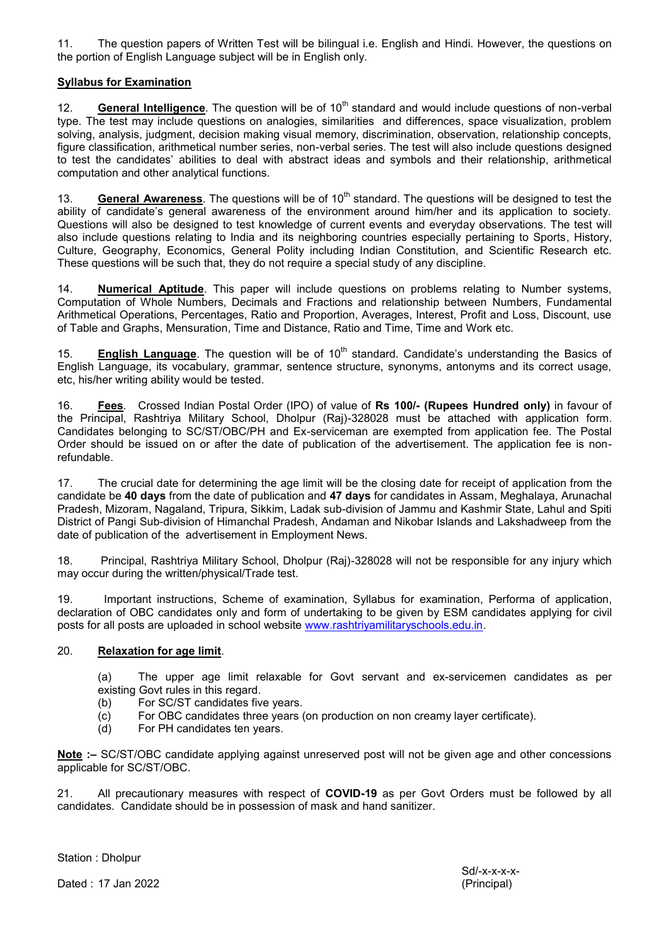11. The question papers of Written Test will be bilingual i.e. English and Hindi. However, the questions on the portion of English Language subject will be in English only.

## **Syllabus for Examination**

12. **General Intelligence**. The question will be of 10<sup>th</sup> standard and would include questions of non-verbal type. The test may include questions on analogies, similarities and differences, space visualization, problem solving, analysis, judgment, decision making visual memory, discrimination, observation, relationship concepts, figure classification, arithmetical number series, non-verbal series. The test will also include questions designed to test the candidates' abilities to deal with abstract ideas and symbols and their relationship, arithmetical computation and other analytical functions.

13. **General Awareness**. The questions will be of 10<sup>th</sup> standard. The questions will be designed to test the ability of candidate's general awareness of the environment around him/her and its application to society. Questions will also be designed to test knowledge of current events and everyday observations. The test will also include questions relating to India and its neighboring countries especially pertaining to Sports, History, Culture, Geography, Economics, General Polity including Indian Constitution, and Scientific Research etc. These questions will be such that, they do not require a special study of any discipline.

14. **Numerical Aptitude**. This paper will include questions on problems relating to Number systems, Computation of Whole Numbers, Decimals and Fractions and relationship between Numbers, Fundamental Arithmetical Operations, Percentages, Ratio and Proportion, Averages, Interest, Profit and Loss, Discount, use of Table and Graphs, Mensuration, Time and Distance, Ratio and Time, Time and Work etc.

15. **English Language**. The question will be of 10<sup>th</sup> standard. Candidate's understanding the Basics of English Language, its vocabulary, grammar, sentence structure, synonyms, antonyms and its correct usage, etc, his/her writing ability would be tested.

16. **Fees**. Crossed Indian Postal Order (IPO) of value of **Rs 100/- (Rupees Hundred only)** in favour of the Principal, Rashtriya Military School, Dholpur (Raj)-328028 must be attached with application form. Candidates belonging to SC/ST/OBC/PH and Ex-serviceman are exempted from application fee. The Postal Order should be issued on or after the date of publication of the advertisement. The application fee is nonrefundable.

17. The crucial date for determining the age limit will be the closing date for receipt of application from the candidate be **40 days** from the date of publication and **47 days** for candidates in Assam, Meghalaya, Arunachal Pradesh, Mizoram, Nagaland, Tripura, Sikkim, Ladak sub-division of Jammu and Kashmir State, Lahul and Spiti District of Pangi Sub-division of Himanchal Pradesh, Andaman and Nikobar Islands and Lakshadweep from the date of publication of the advertisement in Employment News.

18. Principal, Rashtriya Military School, Dholpur (Raj)-328028 will not be responsible for any injury which may occur during the written/physical/Trade test.

19. Important instructions, Scheme of examination, Syllabus for examination, Performa of application, declaration of OBC candidates only and form of undertaking to be given by ESM candidates applying for civil posts for all posts are uploaded in school website [www.rashtriyamilitaryschools.edu.in.](http://www.rashtriyamilitaryschools.edu.in/)

### 20. **Relaxation for age limit**.

(a) The upper age limit relaxable for Govt servant and ex-servicemen candidates as per existing Govt rules in this regard.

- (b) For SC/ST candidates five years.
- (c) For OBC candidates three years (on production on non creamy layer certificate).
- (d) For PH candidates ten years.

**Note :–** SC/ST/OBC candidate applying against unreserved post will not be given age and other concessions applicable for SC/ST/OBC.

21. All precautionary measures with respect of **COVID-19** as per Govt Orders must be followed by all candidates. Candidate should be in possession of mask and hand sanitizer.

Station : Dholpur

Dated : 17 Jan 2022 (Principal)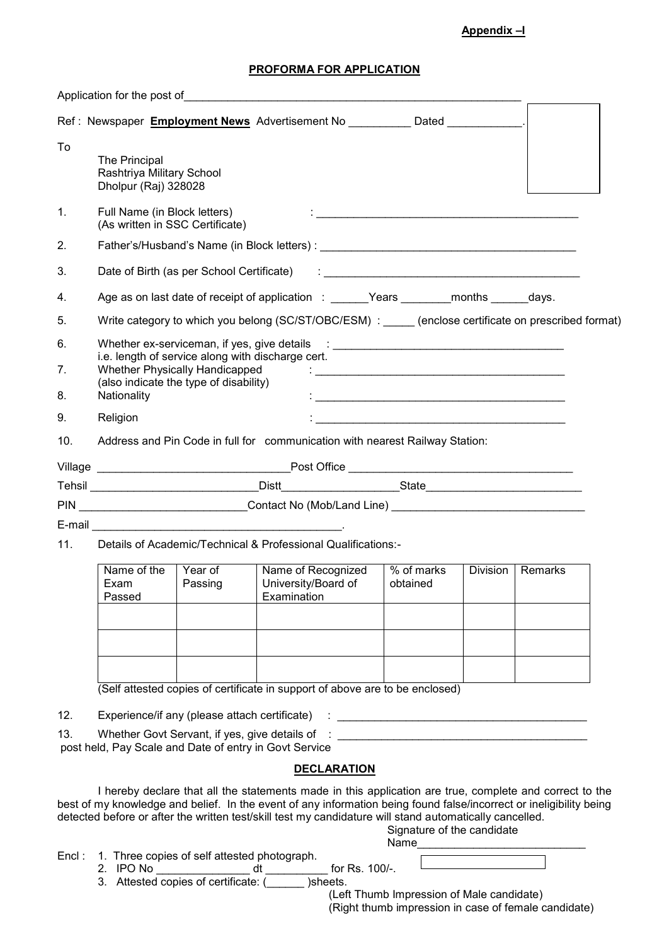#### **PROFORMA FOR APPLICATION**

|       |                                                                                                                                                                                                                                                                                  | Application for the post of the contract of the state of the state of the state of the state of the state of the state of the state of the state of the state of the state of the state of the state of the state of the state                                                                                                                                                            |                                                          |                                                               |                                                                                                                                                                                                                                |  |                            |         |  |
|-------|----------------------------------------------------------------------------------------------------------------------------------------------------------------------------------------------------------------------------------------------------------------------------------|-------------------------------------------------------------------------------------------------------------------------------------------------------------------------------------------------------------------------------------------------------------------------------------------------------------------------------------------------------------------------------------------|----------------------------------------------------------|---------------------------------------------------------------|--------------------------------------------------------------------------------------------------------------------------------------------------------------------------------------------------------------------------------|--|----------------------------|---------|--|
|       |                                                                                                                                                                                                                                                                                  | Ref: Newspaper Employment News Advertisement No __________ Dated ___________.                                                                                                                                                                                                                                                                                                             |                                                          |                                                               |                                                                                                                                                                                                                                |  |                            |         |  |
| To    | The Principal<br>Rashtriya Military School<br>Dholpur (Raj) 328028                                                                                                                                                                                                               |                                                                                                                                                                                                                                                                                                                                                                                           |                                                          |                                                               |                                                                                                                                                                                                                                |  |                            |         |  |
| 1.    | Full Name (in Block letters)<br><u> 1989 - Johann Barbara, margaret eta idazlearia (h. 1989).</u><br>(As written in SSC Certificate)                                                                                                                                             |                                                                                                                                                                                                                                                                                                                                                                                           |                                                          |                                                               |                                                                                                                                                                                                                                |  |                            |         |  |
| 2.    |                                                                                                                                                                                                                                                                                  |                                                                                                                                                                                                                                                                                                                                                                                           |                                                          |                                                               |                                                                                                                                                                                                                                |  |                            |         |  |
| 3.    | Date of Birth (as per School Certificate)<br>$\ddot{\cdot}$ . The contract of the contract of the contract of the contract of the contract of the contract of the contract of the contract of the contract of the contract of the contract of the contract of the contract of th |                                                                                                                                                                                                                                                                                                                                                                                           |                                                          |                                                               |                                                                                                                                                                                                                                |  |                            |         |  |
| 4.    |                                                                                                                                                                                                                                                                                  | Age as on last date of receipt of application : ______Years ________months ______days.                                                                                                                                                                                                                                                                                                    |                                                          |                                                               |                                                                                                                                                                                                                                |  |                            |         |  |
| 5.    |                                                                                                                                                                                                                                                                                  | Write category to which you belong (SC/ST/OBC/ESM) : (enclose certificate on prescribed format)                                                                                                                                                                                                                                                                                           |                                                          |                                                               |                                                                                                                                                                                                                                |  |                            |         |  |
| 6.    |                                                                                                                                                                                                                                                                                  | Whether ex-serviceman, if yes, give details : __________________________________                                                                                                                                                                                                                                                                                                          |                                                          |                                                               |                                                                                                                                                                                                                                |  |                            |         |  |
| 7.    | i.e. length of service along with discharge cert.<br>Whether Physically Handicapped<br>(also indicate the type of disability)                                                                                                                                                    |                                                                                                                                                                                                                                                                                                                                                                                           |                                                          |                                                               |                                                                                                                                                                                                                                |  |                            |         |  |
| 8.    | Nationality                                                                                                                                                                                                                                                                      |                                                                                                                                                                                                                                                                                                                                                                                           |                                                          | <u> 2000 - Jan Barat, margaret eta biztanleria (h. 1888).</u> |                                                                                                                                                                                                                                |  |                            |         |  |
| 9.    | Religion                                                                                                                                                                                                                                                                         |                                                                                                                                                                                                                                                                                                                                                                                           |                                                          |                                                               |                                                                                                                                                                                                                                |  |                            |         |  |
| 10.   |                                                                                                                                                                                                                                                                                  | Address and Pin Code in full for communication with nearest Railway Station:                                                                                                                                                                                                                                                                                                              |                                                          |                                                               |                                                                                                                                                                                                                                |  |                            |         |  |
|       |                                                                                                                                                                                                                                                                                  |                                                                                                                                                                                                                                                                                                                                                                                           |                                                          |                                                               |                                                                                                                                                                                                                                |  |                            |         |  |
|       |                                                                                                                                                                                                                                                                                  |                                                                                                                                                                                                                                                                                                                                                                                           |                                                          |                                                               |                                                                                                                                                                                                                                |  |                            |         |  |
|       |                                                                                                                                                                                                                                                                                  |                                                                                                                                                                                                                                                                                                                                                                                           |                                                          |                                                               |                                                                                                                                                                                                                                |  |                            |         |  |
|       |                                                                                                                                                                                                                                                                                  |                                                                                                                                                                                                                                                                                                                                                                                           |                                                          |                                                               |                                                                                                                                                                                                                                |  |                            |         |  |
| 11.   |                                                                                                                                                                                                                                                                                  | Details of Academic/Technical & Professional Qualifications:-                                                                                                                                                                                                                                                                                                                             |                                                          |                                                               |                                                                                                                                                                                                                                |  |                            |         |  |
|       | Name of the<br>Exam<br>Passed                                                                                                                                                                                                                                                    | Year of<br>Passing                                                                                                                                                                                                                                                                                                                                                                        | Name of Recognized<br>University/Board of<br>Examination |                                                               | % of marks<br>obtained                                                                                                                                                                                                         |  | Division                   | Remarks |  |
|       |                                                                                                                                                                                                                                                                                  |                                                                                                                                                                                                                                                                                                                                                                                           |                                                          |                                                               |                                                                                                                                                                                                                                |  |                            |         |  |
|       |                                                                                                                                                                                                                                                                                  |                                                                                                                                                                                                                                                                                                                                                                                           |                                                          |                                                               |                                                                                                                                                                                                                                |  |                            |         |  |
|       |                                                                                                                                                                                                                                                                                  |                                                                                                                                                                                                                                                                                                                                                                                           |                                                          |                                                               |                                                                                                                                                                                                                                |  |                            |         |  |
|       |                                                                                                                                                                                                                                                                                  | (Self attested copies of certificate in support of above are to be enclosed)                                                                                                                                                                                                                                                                                                              |                                                          |                                                               |                                                                                                                                                                                                                                |  |                            |         |  |
| 12.   | Experience/if any (please attach certificate)                                                                                                                                                                                                                                    |                                                                                                                                                                                                                                                                                                                                                                                           |                                                          |                                                               |                                                                                                                                                                                                                                |  |                            |         |  |
| 13.   |                                                                                                                                                                                                                                                                                  | Whether Govt Servant, if yes, give details of<br>post held, Pay Scale and Date of entry in Govt Service                                                                                                                                                                                                                                                                                   |                                                          |                                                               |                                                                                                                                                                                                                                |  |                            |         |  |
|       |                                                                                                                                                                                                                                                                                  |                                                                                                                                                                                                                                                                                                                                                                                           |                                                          | <b>DECLARATION</b>                                            |                                                                                                                                                                                                                                |  |                            |         |  |
| Encl: |                                                                                                                                                                                                                                                                                  | I hereby declare that all the statements made in this application are true, complete and correct to the<br>best of my knowledge and belief. In the event of any information being found false/incorrect or ineligibility being<br>detected before or after the written test/skill test my candidature will stand automatically cancelled.<br>1. Three copies of self attested photograph. |                                                          |                                                               | Name and the state of the state of the state of the state of the state of the state of the state of the state of the state of the state of the state of the state of the state of the state of the state of the state of the s |  | Signature of the candidate |         |  |
|       | $2$ IDO No.                                                                                                                                                                                                                                                                      |                                                                                                                                                                                                                                                                                                                                                                                           | $\mathsf{H}$                                             | for De 1001                                                   |                                                                                                                                                                                                                                |  |                            |         |  |

2. IPO No \_\_\_\_\_\_\_\_\_\_\_\_\_\_\_ dt \_\_\_\_\_\_\_\_\_\_ for Rs. 100/-. 3. Attested copies of certificate: (\_\_\_\_\_\_ )sheets.

 (Left Thumb Impression of Male candidate) (Right thumb impression in case of female candidate)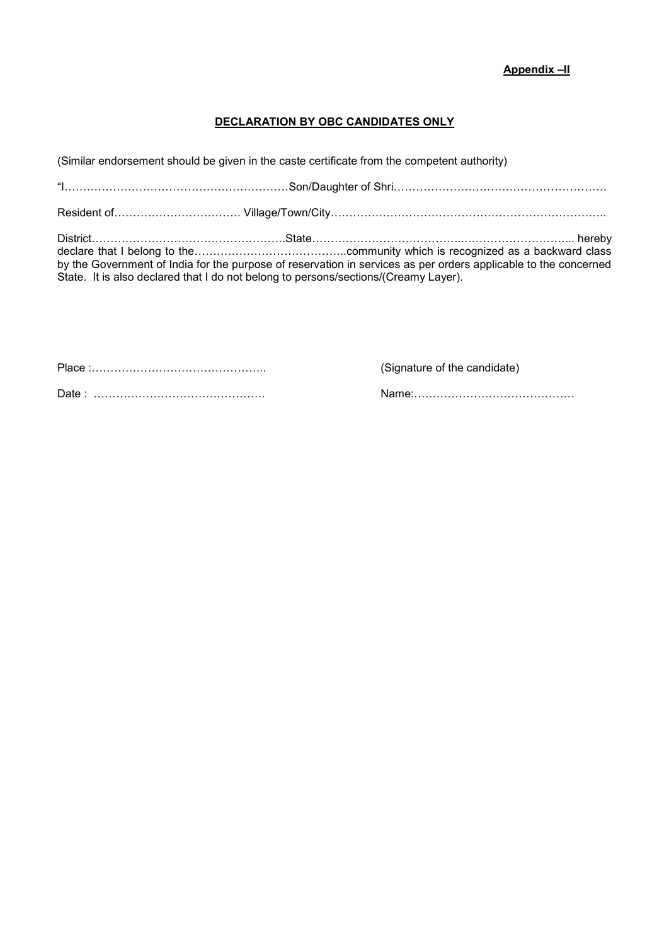# **DECLARATION BY OBC CANDIDATES ONLY**

(Similar endorsement should be given in the caste certificate from the competent authority)

|                                                                                     | by the Government of India for the purpose of reservation in services as per orders applicable to the concerned |
|-------------------------------------------------------------------------------------|-----------------------------------------------------------------------------------------------------------------|
| State. It is also declared that I do not belong to persons/sections/(Creamy Layer). |                                                                                                                 |

Place :……………………………………….. (Signature of the candidate)

Date : ………………………………………. Name:…………………………………….